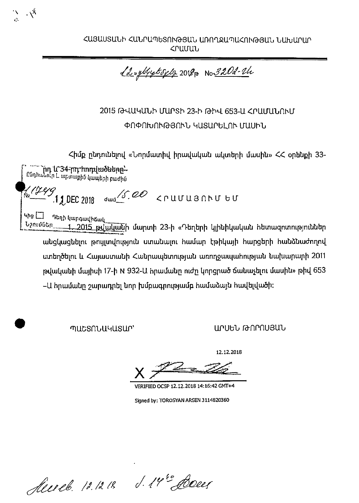ՀԱՅԱՍՏԱՆԻ ՀԱՆՐԱՊԵՏՈՒԹՅԱՆ ԱՌՈՂՋԱՊԱՀՈՒԹՅԱՆ ՆԱԽԱՐԱՐ **<ruuuu** 

<u> 12 myllystoply</u> 2018 p No 320d-24

2015 ԹՎԱԿԱՆԻ ՄԱՐՏԻ 23-Ի ԹԻՎ 653-Ա ՀՐԱՄԱՆՈՒՄ ՓՈՓՈԽՈՒԹՅՈՒՆ ԿԱՏԱՐԵԼՈՒ ՄԱՍԻՆ

Հիմք ընդունելով «Նորմատիվ իրավական ակտերի մասին» ՀՀ օրենքի 33-

 $\frac{1}{2}$  (249  $\frac{1}{2}$  DEC 2018 dwd 5.00 CPUUU3NNU GU Чh $\mathbf g \bigsqcup$ Դեղի կարգավիճակ Նշումներ 1, 2015 թվականի մարտի 23-ի «Դեղերի կլինիկական հետազոտություններ անցկացնեյու թույլտվություն ստանալու համար էթիկայի հարցերի հանձնաժողով ստեղծելու և Հայաստանի Հանրապետության առողջապահության նախարարի 2011 polutuuth մայիսի 17-ի N 932-Ա հրամանը ուժը կորցրած ճանաչելու մասին» թիվ 653 –Ա հրամանը շարադրել նոր խմբագրությամբ համաձայն հավելվածի։

mucsnuuyusur

 $\Delta$ 

ԱՐՍԵՆ ԹՈՐՈՍՅԱՆ

12.12.2018

VERIFIED OCSP 12.12.2018 14:16:42 GMT+4

Signed by: TOROSYAN ARSEN 3114820360

Seereb. 12.12.18 d. 14th Doces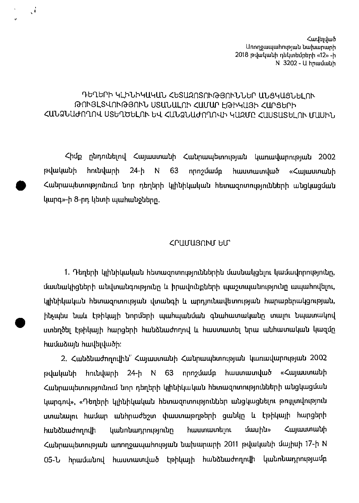Հավելված **Unnnouuunnumpuun tutuununn** 2018 թվականի դեկտեմբերի «12» -ի  $N$  3202 -  $U$  hpuuuuuuh

## ԴԵՂԵՐԻ ԿԼԻՆԻԿԱԿԱՆ ՀԵՏԱԶՈՏՈՒԹՅՈՒՆՆԵՐ ԱՆՑԿԱՑՆԵԼՈՒ ԹՈՒՅԼՏՎՈՒԹՅՈՒՆ ՍՏԱՆԱԼՈՒ ՀԱՄԱՐ ԷԹԻԿԱՅԻ ՀԱՐՑԵՐԻ ՀԱՆՁՆԱԺՈՂՈՎ ՍՏԵՂԾԵԼՈՒ ԵՎ ՀԱՆՁՆԱԺՈՂՈՎԻ ԿԱԶՄԸ ՀԱՍՏԱՏԵԼՈՒ ՄԱՍԻՆ

 $\mathbf{A}$ 

Chap nbrimthbritt Cwiwwnwbh Ctubrumtibuintrajwb Liwnwt.twpmiajwb 2002 hունվարի 24-ի N 63 որոշմամբ հաստատված «Հայաստանի թվականի հունվարի 24-ի N 63 որոշմամբ հաստատված «Հայաստանի<br>Հանրապետությունում նոր դեղերի կյինիկական հետազոտությունների անցկացման կարգ»-ի 8-րդ կետի պահանջները.

## cruuuenru- blr

1. Դեղերի կլինիկական հետազոտություններին մասնակցելու կամավորությունը, մասնակիցների անվտանգությունը և իրավունքների պաշտպանությունը ապահովելու, կլինիկական հետազոտության վտանգի և արդյունավետության հարաբերակցության, ինչպես նաև էթիկալի նորմերի պահպանման գնահատականը տալու նպատակով ստեղծել էթիկալի հարցերի հանձնաժողով և հաստատել նրա անհատական կազմը hամաձայն hավելվածի:

2. Հանձնաժողովին՝ Հայաստանի Հանրապետության կառավարության 2002 թվականի hունվարի 24-ի N 63 որոշմամբ հաստատված «Հայաստանի Հանրապետությունում նոր դեղերի կլինիկական հետազոտությունների անցկացման կարգով», «Դեղերի կլինիկական հետազոտություններ անցկացնելու թույլտվություն ստանալու համար անհրաժեշտ փաստաթղթերի ցանկը և էթիկայի հարցերի իանձնաժողովի կանոնադրությունը հաստատելու մասին» Հայաստանի Cw'Upwu4bulmraiwb wanuunmwhmiajwb bwhiwpwph 2011 rat.twbuibh aujhuh 17-h N 05-Ն հրամանով հաստատված էթիկայի հանձնաժողովի կանոնադրությամբ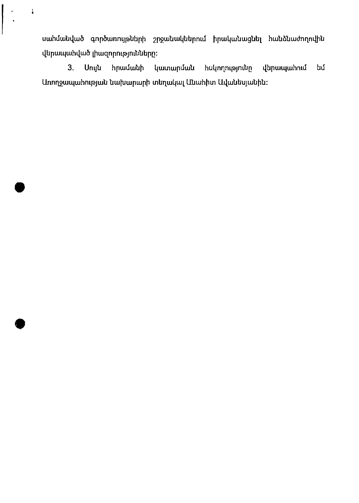սաիմանված գործառույթների շրջանակներում իրականացնել հանձնաժողովին վերապահված լիազորությունները։

 $\ddot{\bullet}$ 

 $3.$ Սույն հրամանի կատարման հսկողությունը վերապահում եմ Առողջապահության նախարարի տեղակալ Անահիտ Ավանեսյանին։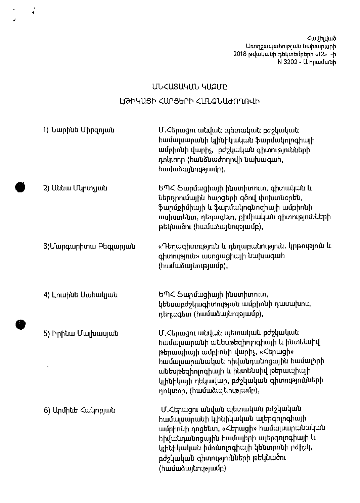Հավելված Առողջապահության 2018 թվականի դեկտեմբերի «12» -ի N 3202 - Ա հրամանի

## UU<USU4UU 4URUC ԷԹԻԿԱՅԻ ՀԱՐՑԵՐԻ ՀԱՆՁՆԱԺՈՂՈՎԻ

 $\ddot{\phantom{0}}$ 

| 1) Նարինե Միրզոյան    | Մ.Հերացու անվան պետական բժշկական<br>համալսարանի կլինիկական ֆարմակոլոգիայի<br>ամբիոնի վարիչ, բժշկական գիտությունների<br>դոկտոր (հանձնաժողովի նախագահ,<br>hամաձայնությամբ),                                                                                                       |
|-----------------------|---------------------------------------------------------------------------------------------------------------------------------------------------------------------------------------------------------------------------------------------------------------------------------|
| 2) Աննա Մկրտչյան      | ԵՊՀ Ֆարմացիայի ինստիտուտ, գիտական և<br>ներդրումային հարցերի գծով փոխտնօրեն,<br>ֆարմքիմիայի և ֆարմակոգնոզիայի ամբիոնի<br>ասիստենտ, դեղագետ, քիմիական գիտությունների<br>թեկնածու (համաձայնությամբ),                                                                               |
| 3)Մարգարիտա Բեգլարյան | «Դեղագիտություն և դեղաբանություն. կրթություն և<br>գիտություն» ասոցացիայի նախագահ<br>(hամաձայնությամբ),                                                                                                                                                                          |
| 4) Լուսինե Սահակյան   | ԵՊՀ Ֆարմացիայի ինստիտուտ,<br>կենսաբժշկագիտության ամբիոնի դասախոս,<br>դեղագետ (համաձայնությամբ),                                                                                                                                                                                 |
| 5) Իրինա Մալխասյան    | Մ.Հերացու անվան պետական բժշկական<br>համալսարանի անեսթեզիոլոգիայի և ինտենսիվ<br>թերապիայի ամբիոնի վարիչ, «Հերացի»<br>համալսարանական հիվանդանոցային համալիրի<br>անեսթեզիոլոգիայի և ինտենսիվ թերապիայի<br>կլինիկայի ղեկավար, բժշկական գիտությունների<br>դոկտոր, (համաձայնությամբ), |
| 6) Արմինե Հակոբյան    | Մ.Հերացու անվան պետական բժշկական<br>համալսարանի կլինիկական ալերգոլոգիայի<br>ամբիոնի դոցենտ, «Հերացի» համալսարանական<br>հիվանդանոցային համալիրի ալերգոլոգիայի և<br>կլինիկական իմունոլոգիայի կենտրոնի բժիշկ,<br>բժշկական գիտությունների թեկնածու<br>(hամաձայնությամբ)             |